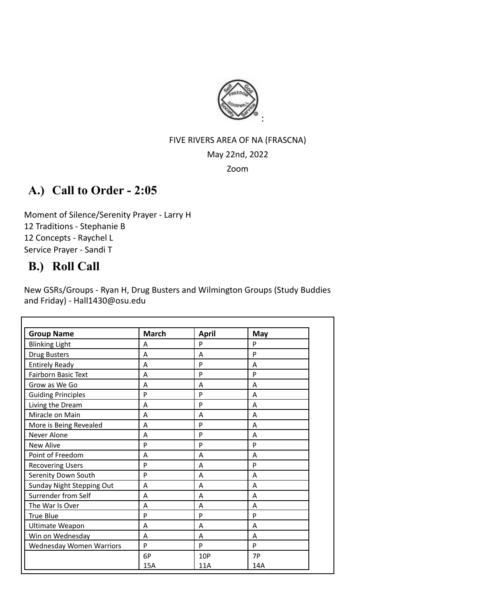

#### FIVE RIVERS AREA OF NA (FRASCNA)

#### May 22nd, 2022

Zoom

# **A.) Call to Order - 2:05**

Moment of Silence/Serenity Prayer - Larry H 12 Traditions - Stephanie B 12 Concepts - Raychel L Service Prayer - Sandi T

# **B.) Roll Call**

New GSRs/Groups - Ryan H, Drug Busters and Wilmington Groups (Study Buddies and Friday) - Hall1430@osu.edu

| <b>Group Name</b>               | <b>March</b> | <b>April</b> | May |  |
|---------------------------------|--------------|--------------|-----|--|
| <b>Blinking Light</b>           | А            | P            | P   |  |
| <b>Drug Busters</b>             | A            | A            | P   |  |
| <b>Entirely Ready</b>           | A            | P            | A   |  |
| <b>Fairborn Basic Text</b>      | А            | P            | P   |  |
| Grow as We Go                   | Α            | A            | A   |  |
| <b>Guiding Principles</b>       | P            | P            | A   |  |
| Living the Dream                | A            | P            | A   |  |
| Miracle on Main                 | Α            | A            | A   |  |
| More is Being Revealed          | A            | P            | A   |  |
| Never Alone                     | A            | P            | A   |  |
| <b>New Alive</b>                | P            | P            | P   |  |
| Point of Freedom                | A            | A            | A   |  |
| <b>Recovering Users</b>         | P            | A            | P   |  |
| Serenity Down South             | P            | A            | A   |  |
| Sunday Night Stepping Out       | A            | A            | A   |  |
| Surrender from Self             | Α            | A            | A   |  |
| The War Is Over                 | A            | A            | A   |  |
| True Blue                       | P            | P            | P   |  |
| Ultimate Weapon                 | A            | A            | Α   |  |
| Win on Wednesday<br>A           |              | A            | A   |  |
| <b>Wednesday Women Warriors</b> | P            | P            | P   |  |
|                                 | 6P           | 10P          | 7P  |  |
|                                 | 15A          | 11A          | 14A |  |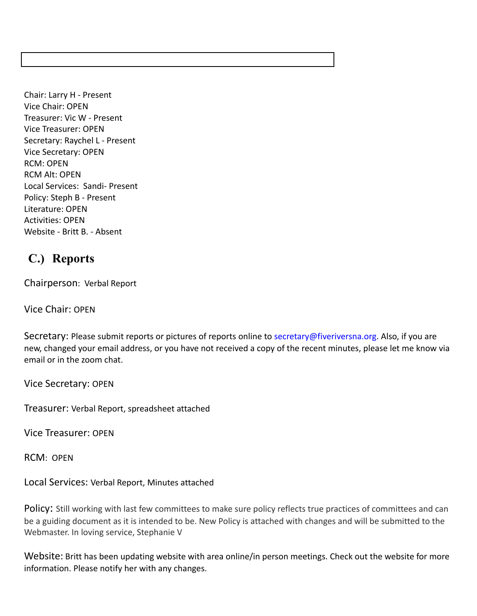Chair: Larry H - Present Vice Chair: OPEN Treasurer: Vic W - Present Vice Treasurer: OPEN Secretary: Raychel L - Present Vice Secretary: OPEN RCM: OPEN RCM Alt: OPEN Local Services: Sandi- Present Policy: Steph B - Present Literature: OPEN Activities: OPEN Website - Britt B. - Absent

# **C.) Reports**

Chairperson: Verbal Report

Vice Chair: OPEN

Secretary: Please submit reports or pictures of reports online to [secretary@fiveriversna.org](mailto:secretary@fiveriversna.org). Also, if you are new, changed your email address, or you have not received a copy of the recent minutes, please let me know via email or in the zoom chat.

Vice Secretary: OPEN

Treasurer: Verbal Report, spreadsheet attached

Vice Treasurer: OPEN

RCM: OPEN

Local Services: Verbal Report, Minutes attached

Policy: Still working with last few committees to make sure policy reflects true practices of committees and can be a guiding document as it is intended to be. New Policy is attached with changes and will be submitted to the Webmaster. In loving service, Stephanie V

Website: Britt has been updating website with area online/in person meetings. Check out the website for more information. Please notify her with any changes.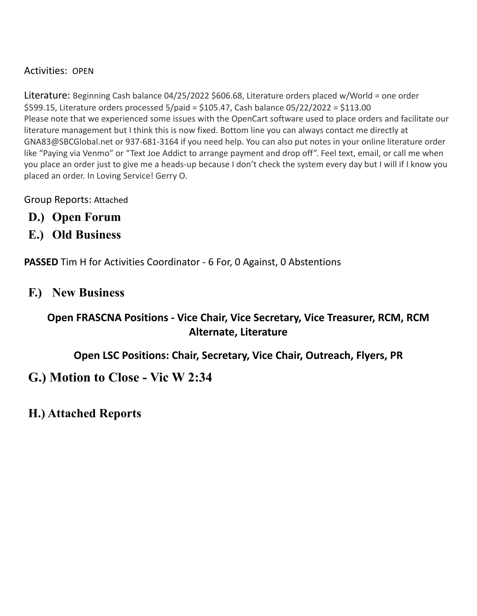Activities: OPEN

Literature: Beginning Cash balance 04/25/2022 \$606.68, Literature orders placed w/World = one order \$599.15, Literature orders processed 5/paid = \$105.47, Cash balance 05/22/2022 = \$113.00 Please note that we experienced some issues with the OpenCart software used to place orders and facilitate our literature management but I think this is now fixed. Bottom line you can always contact me directly at GNA83@SBCGlobal.net or 937-681-3164 if you need help. You can also put notes in your online literature order like "Paying via Venmo" or "Text Joe Addict to arrange payment and drop off". Feel text, email, or call me when you place an order just to give me a heads-up because I don't check the system every day but I will if I know you placed an order. In Loving Service! Gerry O.

Group Reports: Attached

- **D.) Open Forum**
- **E.) Old Business**

**PASSED** Tim H for Activities Coordinator - 6 For, 0 Against, 0 Abstentions

## **F.) New Business**

# **Open FRASCNA Positions - Vice Chair, Vice Secretary, Vice Treasurer, RCM, RCM Alternate, Literature**

**Open LSC Positions: Chair, Secretary, Vice Chair, Outreach, Flyers, PR**

**G.) Motion to Close - Vic W 2:34**

**H.) Attached Reports**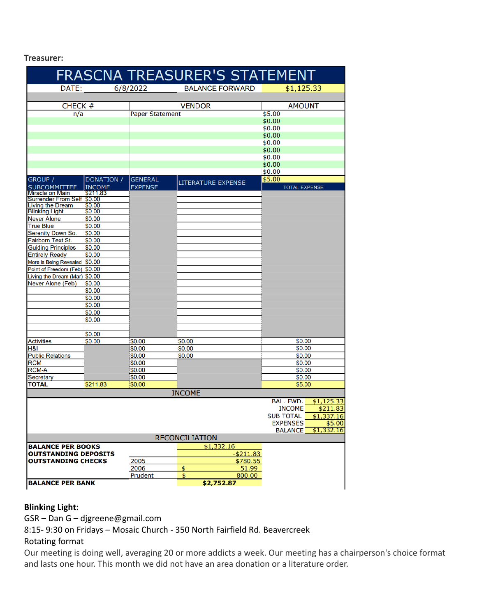**Treasurer:**

|                                                    |                         |                        | FRASCNA TREASURER'S STATEMENT |                                |
|----------------------------------------------------|-------------------------|------------------------|-------------------------------|--------------------------------|
| DATE:                                              |                         | 6/8/2022               | <b>BALANCE FORWARD</b>        | \$1,125.33                     |
|                                                    |                         |                        |                               |                                |
| CHECK #                                            |                         |                        | <b>VENDOR</b>                 | <b>AMOUNT</b>                  |
| n/a                                                |                         | <b>Paper Statement</b> |                               | \$5.00                         |
|                                                    |                         |                        |                               | \$0.00                         |
|                                                    |                         |                        |                               | \$0.00                         |
|                                                    |                         |                        |                               | \$0.00                         |
|                                                    |                         |                        |                               | \$0.00<br>\$0.00               |
|                                                    |                         |                        |                               | \$0.00                         |
|                                                    |                         |                        |                               | \$0.00                         |
|                                                    |                         |                        |                               | \$0.00                         |
| GROUP /                                            | DONATION /              | <b>GENERAL</b>         |                               | \$5.00                         |
| <b>SUBCOMMITTEE</b>                                | <b>INCOME</b>           | <b>EXPENSE</b>         | <b>LITERATURE EXPENSE</b>     | <b>TOTAL EXPENSE</b>           |
| <b>Miracle on Main</b>                             | $\frac{1}{2}$ \$211.83  |                        |                               |                                |
| Surrender From Self \$0.00                         |                         |                        |                               |                                |
| <b>Living the Dream</b>                            | 150.00                  |                        |                               |                                |
| <b>Blinking Light</b>                              | \$0.00                  |                        |                               |                                |
| <b>Never Alone</b>                                 | \$0.00                  |                        |                               |                                |
| <b>True Blue</b>                                   | \$0.00                  |                        |                               |                                |
| Serenity Down So.                                  | \$0.00                  |                        |                               |                                |
| <b>Fairborn Text St.</b>                           | \$0.00                  |                        |                               |                                |
| <b>Guiding Principles</b>                          | \$0.00                  |                        |                               |                                |
| <b>Entirely Ready</b>                              | \$0.00                  |                        |                               |                                |
| More is Being Revealed \$0.00                      |                         |                        |                               |                                |
| Point of Freedom (Feb) \$0.00                      |                         |                        |                               |                                |
| Living the Dream (Mar) \$0.00<br>Never Alone (Feb) |                         |                        |                               |                                |
|                                                    | \$0.00                  |                        |                               |                                |
|                                                    | \$0.00                  |                        |                               |                                |
|                                                    | \$0.00                  |                        |                               |                                |
|                                                    | \$0.00<br>\$0.00        |                        |                               |                                |
|                                                    | \$0.00                  |                        |                               |                                |
|                                                    |                         |                        |                               |                                |
|                                                    | \$0.00                  |                        |                               |                                |
| <b>Activities</b>                                  | \$0.00                  | \$0.00                 | \$0.00                        | \$0.00                         |
| H&I                                                |                         | \$0.00                 | \$0.00                        | \$0.00                         |
| <b>Public Relations</b>                            |                         | \$0.00                 | \$0.00                        | \$0.00                         |
| <b>RCM</b>                                         |                         | \$0.00                 |                               | \$0.00                         |
| <b>RCM-A</b>                                       |                         | \$0.00                 |                               | \$0.00                         |
| Secretary                                          |                         | \$0.00                 |                               | \$0.00                         |
| <b>TOTAL</b>                                       | \$211.83                | \$0.00                 |                               | \$5.00                         |
|                                                    |                         |                        | <b>INCOME</b>                 |                                |
|                                                    |                         |                        |                               | BAL. FWD.<br>\$1,125.33        |
|                                                    |                         |                        |                               | <b>INCOME</b><br>\$211.83      |
|                                                    |                         |                        |                               | <b>SUB TOTAL</b><br>\$1,337.16 |
|                                                    |                         |                        |                               | <b>EXPENSES</b><br>\$5.00      |
|                                                    |                         |                        |                               | <b>BALANCE</b><br>\$1,332.16   |
|                                                    |                         |                        | <b>RECONCILIATION</b>         |                                |
| <b>BALANCE PER BOOKS</b>                           |                         |                        | \$1,332.16                    |                                |
| <b>OUTSTANDING DEPOSITS</b>                        |                         |                        | $-$ \$211.83                  |                                |
| <b>OUTSTANDING CHECKS</b>                          |                         | 2005                   | \$780.55                      |                                |
|                                                    |                         | 2006                   | 51.99<br>\$                   |                                |
|                                                    |                         | Prudent                | \$<br>800.00                  |                                |
|                                                    | <b>BALANCE PER BANK</b> |                        | \$2,752.87                    |                                |

## **Blinking Light:**

GSR – Dan G – djgreene@gmail.com

8:15- 9:30 on Fridays – Mosaic Church - 350 North Fairfield Rd. Beavercreek

## Rotating format

Our meeting is doing well, averaging 20 or more addicts a week. Our meeting has a chairperson's choice format and lasts one hour. This month we did not have an area donation or a literature order.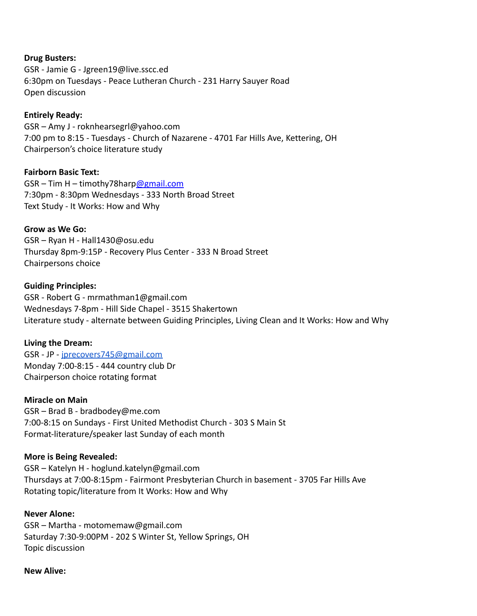#### **Drug Busters:**

GSR - Jamie G - Jgreen19@live.sscc.ed 6:30pm on Tuesdays - Peace Lutheran Church - 231 Harry Sauyer Road Open discussion

#### **Entirely Ready:**

GSR – Amy J - roknhearsegrl@yahoo.com 7:00 pm to 8:15 - Tuesdays - Church of Nazarene - 4701 Far Hills Ave, Kettering, OH Chairperson's choice literature study

#### **Fairborn Basic Text:**

GSR – Tim H – timothy78harp[@gmail.com](mailto:amymcmahan76@gmail.com) 7:30pm - 8:30pm Wednesdays - 333 North Broad Street Text Study - It Works: How and Why

#### **Grow as We Go:**

GSR – Ryan H - Hall1430@osu.edu Thursday 8pm-9:15P - Recovery Plus Center - 333 N Broad Street Chairpersons choice

#### **Guiding Principles:**

GSR - Robert G - mrmathman1@gmail.com Wednesdays 7-8pm - Hill Side Chapel - 3515 Shakertown Literature study - alternate between Guiding Principles, Living Clean and It Works: How and Why

#### **Living the Dream:**

GSR - JP - [jprecovers745@gmail.com](mailto:jprecovers745@gmail.com) Monday 7:00-8:15 - 444 country club Dr Chairperson choice rotating format

#### **Miracle on Main**

GSR – Brad B - bradbodey@me.com 7:00-8:15 on Sundays - First United Methodist Church - 303 S Main St Format-literature/speaker last Sunday of each month

#### **More is Being Revealed:**

GSR – Katelyn H - hoglund.katelyn@gmail.com Thursdays at 7:00-8:15pm - Fairmont Presbyterian Church in basement - 3705 Far Hills Ave Rotating topic/literature from It Works: How and Why

#### **Never Alone:**

GSR – Martha - motomemaw@gmail.com Saturday 7:30-9:00PM - 202 S Winter St, Yellow Springs, OH Topic discussion

#### **New Alive:**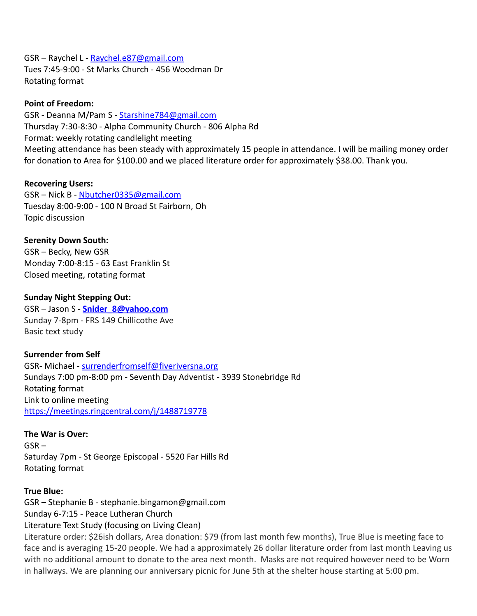GSR – Raychel L - Raychel.e87@gmail.com Tues 7:45-9:00 - St Marks Church - 456 Woodman Dr Rotating format

#### **Point of Freedom:**

GSR - Deanna M/Pam S - [Starshine784@gmail.com](mailto:Starshine784@gmail.com) Thursday 7:30-8:30 - Alpha Community Church - 806 Alpha Rd Format: weekly rotating candlelight meeting Meeting attendance has been steady with approximately 15 people in attendance. I will be mailing money order for donation to Area for \$100.00 and we placed literature order for approximately \$38.00. Thank you.

#### **Recovering Users:**

GSR – Nick B - [Nbutcher0335@gmail.com](mailto:Nbutcher0335@gmail.com) Tuesday 8:00-9:00 - 100 N Broad St Fairborn, Oh Topic discussion

**Serenity Down South:** GSR – Becky, New GSR Monday 7:00-8:15 - 63 East Franklin St Closed meeting, rotating format

#### **Sunday Night Stepping Out:**

GSR – Jason S - **[Snider\\_8@yahoo.com](mailto:Snider_8@yahoo.com)** Sunday 7-8pm - FRS 149 Chillicothe Ave Basic text study

## **Surrender from Self**

GSR- Michael - [surrenderfromself@fiveriversna.org](mailto:surrenderfromself@fiveriversna.org) Sundays 7:00 pm-8:00 pm - Seventh Day Adventist - 3939 Stonebridge Rd Rotating format Link to online meeting <https://meetings.ringcentral.com/j/1488719778>

#### **The War is Over:**

 $GSR -$ Saturday 7pm - St George Episcopal - 5520 Far Hills Rd Rotating format

#### **True Blue:**

GSR – Stephanie B - stephanie.bingamon@gmail.com Sunday 6-7:15 - Peace Lutheran Church

Literature Text Study (focusing on Living Clean)

Literature order: \$26ish dollars, Area donation: \$79 (from last month few months), True Blue is meeting face to face and is averaging 15-20 people. We had a approximately 26 dollar literature order from last month Leaving us with no additional amount to donate to the area next month. Masks are not required however need to be Worn in hallways. We are planning our anniversary picnic for June 5th at the shelter house starting at 5:00 pm.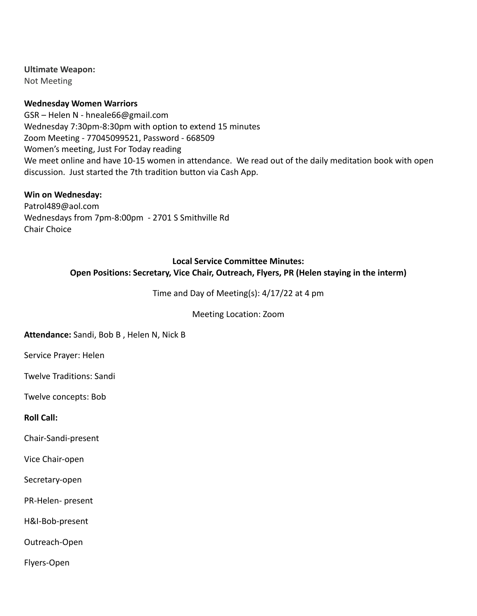#### **Ultimate Weapon:**

Not Meeting

#### **Wednesday Women Warriors**

GSR – Helen N - hneale66@gmail.com Wednesday 7:30pm-8:30pm with option to extend 15 minutes Zoom Meeting - 77045099521, Password - 668509 Women's meeting, Just For Today reading We meet online and have 10-15 women in attendance. We read out of the daily meditation book with open discussion. Just started the 7th tradition button via Cash App.

#### **Win on Wednesday:**

Patrol489@aol.com Wednesdays from 7pm-8:00pm - 2701 S Smithville Rd Chair Choice

## **Local Service Committee Minutes: Open Positions: Secretary, Vice Chair, Outreach, Flyers, PR (Helen staying in the interm)**

Time and Day of Meeting(s): 4/17/22 at 4 pm

Meeting Location: Zoom

#### **Attendance:** Sandi, Bob B , Helen N, Nick B

Service Prayer: Helen

Twelve Traditions: Sandi

Twelve concepts: Bob

**Roll Call:**

Chair-Sandi-present

Vice Chair-open

Secretary-open

PR-Helen- present

H&I-Bob-present

Outreach-Open

Flyers-Open